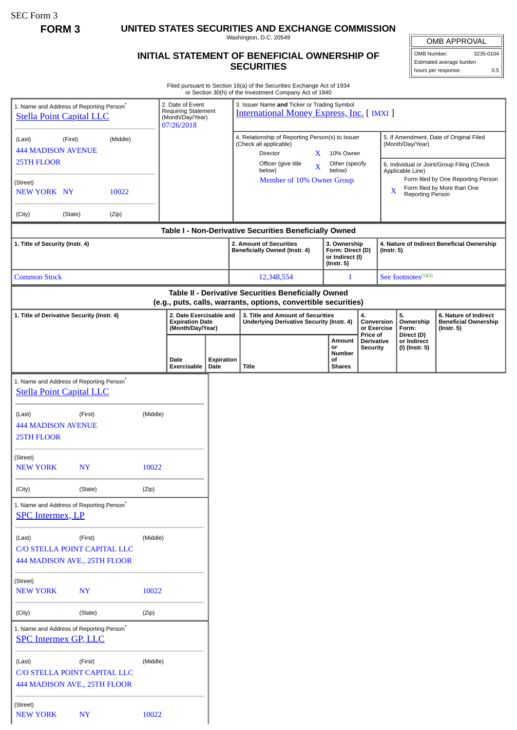SEC Form 3

**FORM 3 UNITED STATES SECURITIES AND EXCHANGE COMMISSION**

Washington, D.C. 20549

## **INITIAL STATEMENT OF BENEFICIAL OWNERSHIP OF SECURITIES**

OMB APPROVAL OMB Number: 3235-0104

Estimated average burden hours per response: 0.5

Filed pursuant to Section 16(a) of the Securities Exchange Act of 1934 or Section 30(h) of the Investment Company Act of 1940

| 1. Name and Address of Reporting Person*<br><b>Stella Point Capital LLC</b>                                                                                                        |           |  |          | 2. Date of Event<br><b>Requiring Statement</b><br>(Month/Day/Year)<br>07/26/2018 |                   | 3. Issuer Name and Ticker or Trading Symbol<br><b>International Money Express, Inc. [IMXI]</b>           |                                                                                       |                                                                           |                                                         |                                                                                                   |                                                                |                                                                          |  |
|------------------------------------------------------------------------------------------------------------------------------------------------------------------------------------|-----------|--|----------|----------------------------------------------------------------------------------|-------------------|----------------------------------------------------------------------------------------------------------|---------------------------------------------------------------------------------------|---------------------------------------------------------------------------|---------------------------------------------------------|---------------------------------------------------------------------------------------------------|----------------------------------------------------------------|--------------------------------------------------------------------------|--|
| (Middle)<br>(Last)<br>(First)<br><b>444 MADISON AVENUE</b>                                                                                                                         |           |  |          |                                                                                  |                   | 4. Relationship of Reporting Person(s) to Issuer<br>(Check all applicable)<br>Director<br>10% Owner<br>X |                                                                                       |                                                                           |                                                         |                                                                                                   | 5. If Amendment, Date of Original Filed<br>(Month/Day/Year)    |                                                                          |  |
| <b>25TH FLOOR</b>                                                                                                                                                                  |           |  |          |                                                                                  |                   | Officer (give title<br>Other (specify<br>X<br>below)<br>below)                                           |                                                                                       |                                                                           |                                                         |                                                                                                   | 6. Individual or Joint/Group Filing (Check<br>Applicable Line) |                                                                          |  |
| (Street)<br><b>NEW YORK NY</b><br>10022                                                                                                                                            |           |  |          |                                                                                  |                   | Member of 10% Owner Group                                                                                |                                                                                       |                                                                           |                                                         | Form filed by One Reporting Person<br>Form filed by More than One<br>X<br><b>Reporting Person</b> |                                                                |                                                                          |  |
| (City)<br>(State)<br>(Zip)                                                                                                                                                         |           |  |          |                                                                                  |                   |                                                                                                          |                                                                                       |                                                                           |                                                         |                                                                                                   |                                                                |                                                                          |  |
| Table I - Non-Derivative Securities Beneficially Owned<br>2. Amount of Securities<br>3. Ownership<br>4. Nature of Indirect Beneficial Ownership<br>1. Title of Security (Instr. 4) |           |  |          |                                                                                  |                   |                                                                                                          |                                                                                       |                                                                           |                                                         |                                                                                                   |                                                                |                                                                          |  |
|                                                                                                                                                                                    |           |  |          |                                                                                  |                   |                                                                                                          | Beneficially Owned (Instr. 4)                                                         |                                                                           | Form: Direct (D)<br>or Indirect (I)<br>$($ Instr. 5 $)$ |                                                                                                   | $($ Instr. 5 $)$                                               |                                                                          |  |
| <b>Common Stock</b>                                                                                                                                                                |           |  |          |                                                                                  |                   |                                                                                                          | 12,348,554                                                                            | I                                                                         |                                                         |                                                                                                   | See footnotes <sup>(1)(2)</sup>                                |                                                                          |  |
| Table II - Derivative Securities Beneficially Owned<br>(e.g., puts, calls, warrants, options, convertible securities)                                                              |           |  |          |                                                                                  |                   |                                                                                                          |                                                                                       |                                                                           |                                                         |                                                                                                   |                                                                |                                                                          |  |
| 1. Title of Derivative Security (Instr. 4)                                                                                                                                         |           |  |          | 2. Date Exercisable and<br><b>Expiration Date</b><br>(Month/Day/Year)            |                   |                                                                                                          | 3. Title and Amount of Securities<br><b>Underlying Derivative Security (Instr. 4)</b> | 4.                                                                        |                                                         | Conversion<br>or Exercise                                                                         | 5.<br>Ownership<br>Form:                                       | 6. Nature of Indirect<br><b>Beneficial Ownership</b><br>$($ Instr. 5 $)$ |  |
|                                                                                                                                                                                    |           |  |          | Date                                                                             | <b>Expiration</b> |                                                                                                          |                                                                                       | Price of<br>Amount<br>Derivative<br>or<br><b>Security</b><br>Number<br>οf |                                                         | Direct (D)<br>or Indirect<br>(I) (Instr. 5)                                                       |                                                                |                                                                          |  |
| 1. Name and Address of Reporting Person <sup>®</sup>                                                                                                                               |           |  |          | Exercisable                                                                      | Date              |                                                                                                          | <b>Title</b>                                                                          | <b>Shares</b>                                                             |                                                         |                                                                                                   |                                                                |                                                                          |  |
| <b>Stella Point Capital LLC</b>                                                                                                                                                    |           |  |          |                                                                                  |                   |                                                                                                          |                                                                                       |                                                                           |                                                         |                                                                                                   |                                                                |                                                                          |  |
| (Last)                                                                                                                                                                             | (First)   |  | (Middle) |                                                                                  |                   |                                                                                                          |                                                                                       |                                                                           |                                                         |                                                                                                   |                                                                |                                                                          |  |
| <b>444 MADISON AVENUE</b>                                                                                                                                                          |           |  |          |                                                                                  |                   |                                                                                                          |                                                                                       |                                                                           |                                                         |                                                                                                   |                                                                |                                                                          |  |
| <b>25TH FLOOR</b>                                                                                                                                                                  |           |  |          |                                                                                  |                   |                                                                                                          |                                                                                       |                                                                           |                                                         |                                                                                                   |                                                                |                                                                          |  |
| (Street)<br><b>NEW YORK</b>                                                                                                                                                        | <b>NY</b> |  | 10022    |                                                                                  |                   |                                                                                                          |                                                                                       |                                                                           |                                                         |                                                                                                   |                                                                |                                                                          |  |
| (City)                                                                                                                                                                             | (State)   |  | (Zip)    |                                                                                  |                   |                                                                                                          |                                                                                       |                                                                           |                                                         |                                                                                                   |                                                                |                                                                          |  |
| 1. Name and Address of Reporting Person <sup>*</sup><br><b>SPC</b> Intermex, LP                                                                                                    |           |  |          |                                                                                  |                   |                                                                                                          |                                                                                       |                                                                           |                                                         |                                                                                                   |                                                                |                                                                          |  |
| (Last)                                                                                                                                                                             | (First)   |  | (Middle) |                                                                                  |                   |                                                                                                          |                                                                                       |                                                                           |                                                         |                                                                                                   |                                                                |                                                                          |  |
| C/O STELLA POINT CAPITAL LLC                                                                                                                                                       |           |  |          |                                                                                  |                   |                                                                                                          |                                                                                       |                                                                           |                                                         |                                                                                                   |                                                                |                                                                          |  |
| 444 MADISON AVE., 25TH FLOOR                                                                                                                                                       |           |  |          |                                                                                  |                   |                                                                                                          |                                                                                       |                                                                           |                                                         |                                                                                                   |                                                                |                                                                          |  |
| (Street)<br><b>NEW YORK</b>                                                                                                                                                        | <b>NY</b> |  | 10022    |                                                                                  |                   |                                                                                                          |                                                                                       |                                                                           |                                                         |                                                                                                   |                                                                |                                                                          |  |
| (City)                                                                                                                                                                             | (State)   |  | (Zip)    |                                                                                  |                   |                                                                                                          |                                                                                       |                                                                           |                                                         |                                                                                                   |                                                                |                                                                          |  |
| 1. Name and Address of Reporting Person*<br><b>SPC Intermex GP, LLC</b>                                                                                                            |           |  |          |                                                                                  |                   |                                                                                                          |                                                                                       |                                                                           |                                                         |                                                                                                   |                                                                |                                                                          |  |
| (Middle)<br>(Last)<br>(First)<br>C/O STELLA POINT CAPITAL LLC<br>444 MADISON AVE., 25TH FLOOR                                                                                      |           |  |          |                                                                                  |                   |                                                                                                          |                                                                                       |                                                                           |                                                         |                                                                                                   |                                                                |                                                                          |  |
|                                                                                                                                                                                    |           |  |          |                                                                                  |                   |                                                                                                          |                                                                                       |                                                                           |                                                         |                                                                                                   |                                                                |                                                                          |  |
| (Street)<br><b>NEW YORK</b>                                                                                                                                                        | <b>NY</b> |  | 10022    |                                                                                  |                   |                                                                                                          |                                                                                       |                                                                           |                                                         |                                                                                                   |                                                                |                                                                          |  |